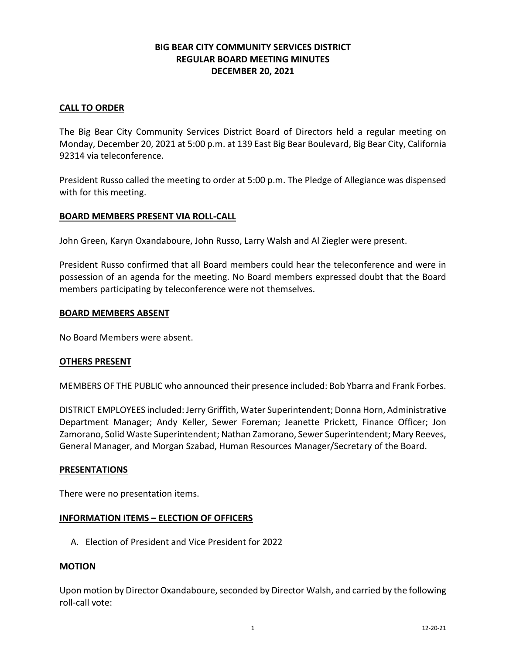# **BIG BEAR CITY COMMUNITY SERVICES DISTRICT REGULAR BOARD MEETING MINUTES DECEMBER 20, 2021**

## **CALL TO ORDER**

The Big Bear City Community Services District Board of Directors held a regular meeting on Monday, December 20, 2021 at 5:00 p.m. at 139 East Big Bear Boulevard, Big Bear City, California 92314 via teleconference.

President Russo called the meeting to order at 5:00 p.m. The Pledge of Allegiance was dispensed with for this meeting.

### **BOARD MEMBERS PRESENT VIA ROLL-CALL**

John Green, Karyn Oxandaboure, John Russo, Larry Walsh and Al Ziegler were present.

President Russo confirmed that all Board members could hear the teleconference and were in possession of an agenda for the meeting. No Board members expressed doubt that the Board members participating by teleconference were not themselves.

### **BOARD MEMBERS ABSENT**

No Board Members were absent.

### **OTHERS PRESENT**

MEMBERS OF THE PUBLIC who announced their presence included: Bob Ybarra and Frank Forbes.

DISTRICT EMPLOYEES included: Jerry Griffith, Water Superintendent; Donna Horn, Administrative Department Manager; Andy Keller, Sewer Foreman; Jeanette Prickett, Finance Officer; Jon Zamorano, Solid Waste Superintendent; Nathan Zamorano, Sewer Superintendent; Mary Reeves, General Manager, and Morgan Szabad, Human Resources Manager/Secretary of the Board.

### **PRESENTATIONS**

There were no presentation items.

### **INFORMATION ITEMS – ELECTION OF OFFICERS**

A. Election of President and Vice President for 2022

### **MOTION**

Upon motion by Director Oxandaboure, seconded by Director Walsh, and carried by the following roll-call vote: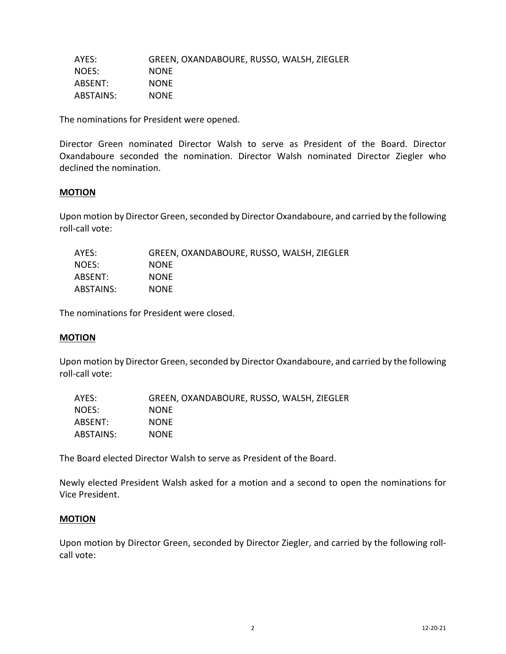| AYES:     | GREEN, OXANDABOURE, RUSSO, WALSH, ZIEGLER |
|-----------|-------------------------------------------|
| NOES:     | <b>NONE</b>                               |
| ABSENT:   | <b>NONE</b>                               |
| ABSTAINS: | <b>NONE</b>                               |

The nominations for President were opened.

Director Green nominated Director Walsh to serve as President of the Board. Director Oxandaboure seconded the nomination. Director Walsh nominated Director Ziegler who declined the nomination.

### **MOTION**

Upon motion by Director Green, seconded by Director Oxandaboure, and carried by the following roll-call vote:

| AYES:     | GREEN, OXANDABOURE, RUSSO, WALSH, ZIEGLER |
|-----------|-------------------------------------------|
| NOES:     | <b>NONE</b>                               |
| ABSENT:   | <b>NONE</b>                               |
| ABSTAINS: | <b>NONE</b>                               |

The nominations for President were closed.

### **MOTION**

Upon motion by Director Green, seconded by Director Oxandaboure, and carried by the following roll-call vote:

| AYES:     | GREEN, OXANDABOURE, RUSSO, WALSH, ZIEGLER |
|-----------|-------------------------------------------|
| NOES:     | <b>NONE</b>                               |
| ABSENT:   | <b>NONE</b>                               |
| ABSTAINS: | <b>NONE</b>                               |

The Board elected Director Walsh to serve as President of the Board.

Newly elected President Walsh asked for a motion and a second to open the nominations for Vice President.

### **MOTION**

Upon motion by Director Green, seconded by Director Ziegler, and carried by the following rollcall vote: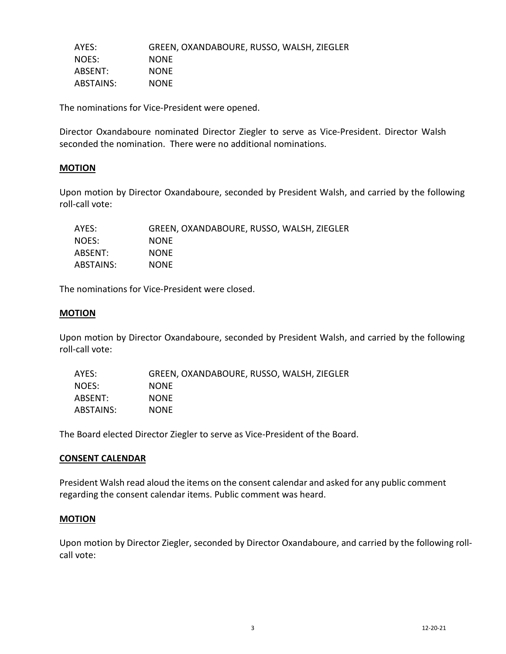| AYES:     | GREEN, OXANDABOURE, RUSSO, WALSH, ZIEGLER |
|-----------|-------------------------------------------|
| NOES:     | <b>NONE</b>                               |
| ABSENT:   | <b>NONE</b>                               |
| ABSTAINS: | <b>NONE</b>                               |

The nominations for Vice-President were opened.

Director Oxandaboure nominated Director Ziegler to serve as Vice-President. Director Walsh seconded the nomination. There were no additional nominations.

## **MOTION**

Upon motion by Director Oxandaboure, seconded by President Walsh, and carried by the following roll-call vote:

| AYES:     | GREEN, OXANDABOURE, RUSSO, WALSH, ZIEGLER |
|-----------|-------------------------------------------|
| NOES:     | <b>NONE</b>                               |
| ABSENT:   | <b>NONE</b>                               |
| ABSTAINS: | <b>NONE</b>                               |

The nominations for Vice-President were closed.

### **MOTION**

Upon motion by Director Oxandaboure, seconded by President Walsh, and carried by the following roll-call vote:

| AYES:     | GREEN, OXANDABOURE, RUSSO, WALSH, ZIEGLER |
|-----------|-------------------------------------------|
| NOES:     | <b>NONE</b>                               |
| ABSENT:   | <b>NONE</b>                               |
| ABSTAINS: | <b>NONE</b>                               |

The Board elected Director Ziegler to serve as Vice-President of the Board.

### **CONSENT CALENDAR**

President Walsh read aloud the items on the consent calendar and asked for any public comment regarding the consent calendar items. Public comment was heard.

### **MOTION**

Upon motion by Director Ziegler, seconded by Director Oxandaboure, and carried by the following rollcall vote: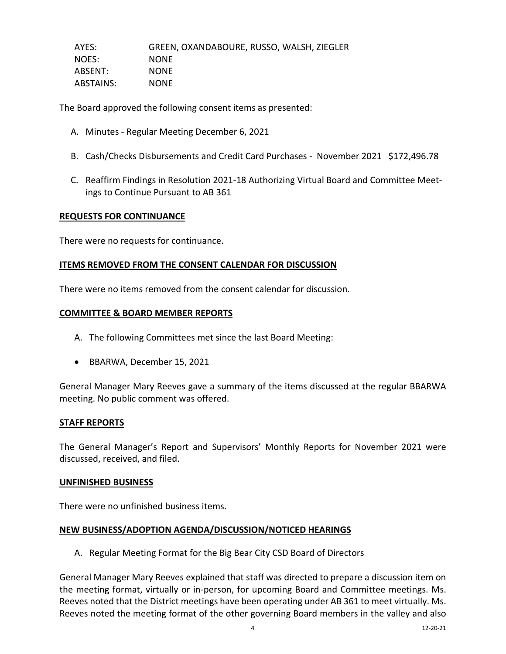| AYES:            | GREEN, OXANDABOURE, RUSSO, WALSH, ZIEGLER |
|------------------|-------------------------------------------|
| NOES:            | <b>NONE</b>                               |
| ABSENT:          | <b>NONE</b>                               |
| <b>ABSTAINS:</b> | <b>NONE</b>                               |

The Board approved the following consent items as presented:

- A. Minutes Regular Meeting December 6, 2021
- B. Cash/Checks Disbursements and Credit Card Purchases November 2021 \$172,496.78
- C. Reaffirm Findings in Resolution 2021-18 Authorizing Virtual Board and Committee Meetings to Continue Pursuant to AB 361

### **REQUESTS FOR CONTINUANCE**

There were no requests for continuance.

### **ITEMS REMOVED FROM THE CONSENT CALENDAR FOR DISCUSSION**

There were no items removed from the consent calendar for discussion.

### **COMMITTEE & BOARD MEMBER REPORTS**

- A. The following Committees met since the last Board Meeting:
- BBARWA, December 15, 2021

General Manager Mary Reeves gave a summary of the items discussed at the regular BBARWA meeting. No public comment was offered.

### **STAFF REPORTS**

The General Manager's Report and Supervisors' Monthly Reports for November 2021 were discussed, received, and filed.

#### **UNFINISHED BUSINESS**

There were no unfinished business items.

### **NEW BUSINESS/ADOPTION AGENDA/DISCUSSION/NOTICED HEARINGS**

A. Regular Meeting Format for the Big Bear City CSD Board of Directors

General Manager Mary Reeves explained that staff was directed to prepare a discussion item on the meeting format, virtually or in-person, for upcoming Board and Committee meetings. Ms. Reeves noted that the District meetings have been operating under AB 361 to meet virtually. Ms. Reeves noted the meeting format of the other governing Board members in the valley and also